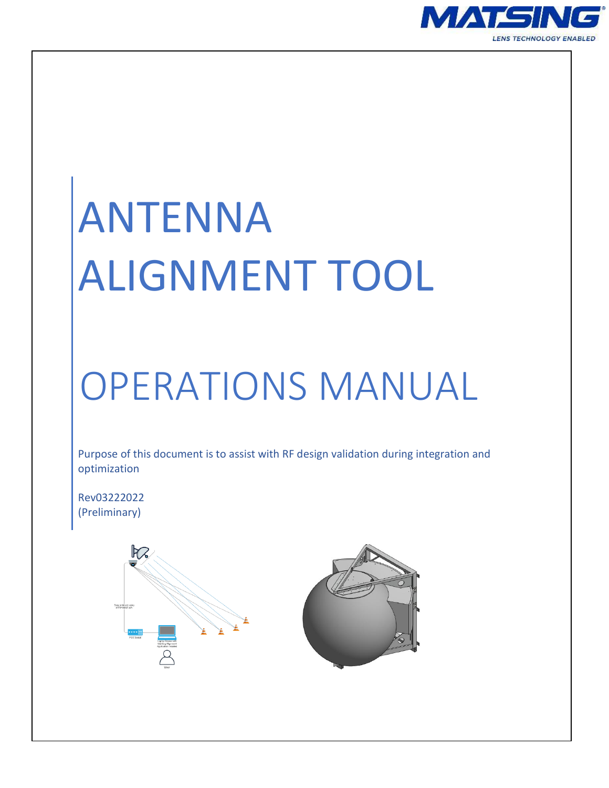

# ANTENNA ALIGNMENT TOOL

# OPERATIONS MANUAL

Purpose of this document is to assist with RF design validation during integration and optimization

Rev03222022 (Preliminary)



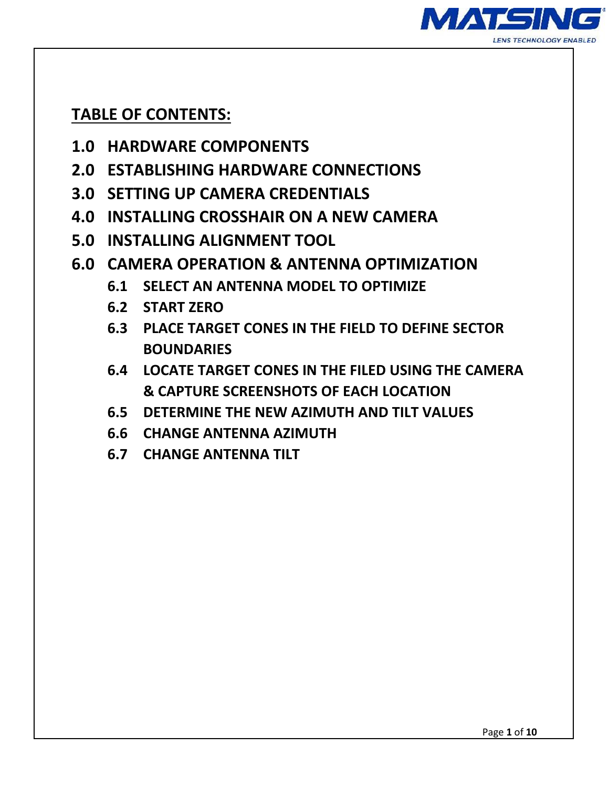

#### **TABLE OF CONTENTS:**

- **1.0 HARDWARE COMPONENTS**
- **2.0 ESTABLISHING HARDWARE CONNECTIONS**
- **3.0 SETTING UP CAMERA CREDENTIALS**
- **4.0 INSTALLING CROSSHAIR ON A NEW CAMERA**
- **5.0 INSTALLING ALIGNMENT TOOL**
- **6.0 CAMERA OPERATION & ANTENNA OPTIMIZATION**
	- **6.1 SELECT AN ANTENNA MODEL TO OPTIMIZE**
	- **6.2 START ZERO**
	- **6.3 PLACE TARGET CONES IN THE FIELD TO DEFINE SECTOR BOUNDARIES**
	- **6.4 LOCATE TARGET CONES IN THE FILED USING THE CAMERA & CAPTURE SCREENSHOTS OF EACH LOCATION**
	- **6.5 DETERMINE THE NEW AZIMUTH AND TILT VALUES**
	- **6.6 CHANGE ANTENNA AZIMUTH**
	- **6.7 CHANGE ANTENNA TILT**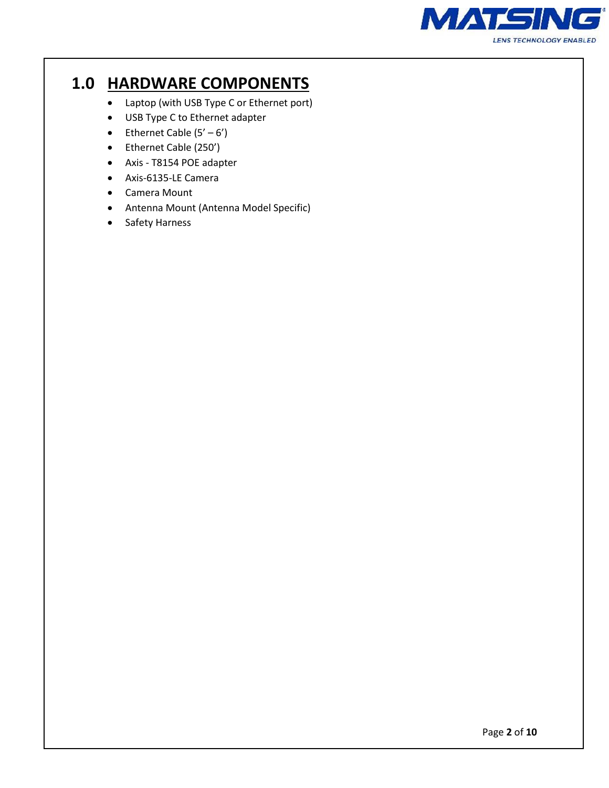

## **1.0 HARDWARE COMPONENTS**

- Laptop (with USB Type C or Ethernet port)
- USB Type C to Ethernet adapter
- Ethernet Cable  $(5' 6')$
- Ethernet Cable (250')
- Axis T8154 POE adapter
- Axis-6135-LE Camera
- Camera Mount
- Antenna Mount (Antenna Model Specific)
- Safety Harness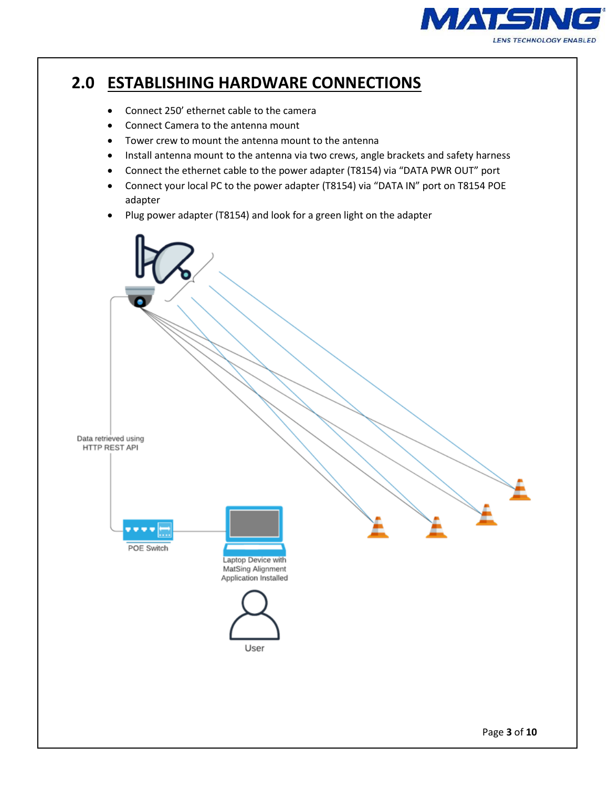

## **2.0 ESTABLISHING HARDWARE CONNECTIONS**

- Connect 250' ethernet cable to the camera
- Connect Camera to the antenna mount
- Tower crew to mount the antenna mount to the antenna
- Install antenna mount to the antenna via two crews, angle brackets and safety harness
- Connect the ethernet cable to the power adapter (T8154) via "DATA PWR OUT" port
- Connect your local PC to the power adapter (T8154) via "DATA IN" port on T8154 POE adapter
- Plug power adapter (T8154) and look for a green light on the adapter

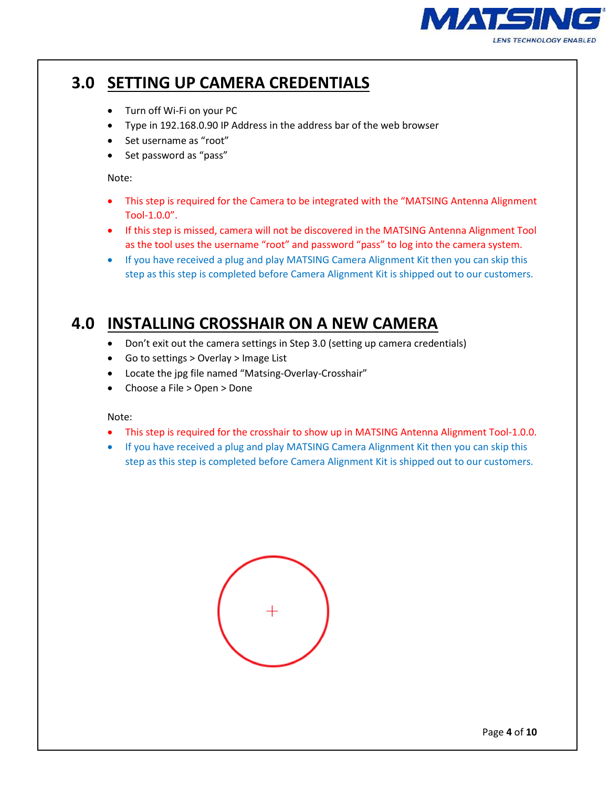

# **3.0 SETTING UP CAMERA CREDENTIALS**

- Turn off Wi-Fi on your PC
- Type in 192.168.0.90 IP Address in the address bar of the web browser
- Set username as "root"
- Set password as "pass"

Note:

- This step is required for the Camera to be integrated with the "MATSING Antenna Alignment Tool-1.0.0".
- If this step is missed, camera will not be discovered in the MATSING Antenna Alignment Tool as the tool uses the username "root" and password "pass" to log into the camera system.
- If you have received a plug and play MATSING Camera Alignment Kit then you can skip this step as this step is completed before Camera Alignment Kit is shipped out to our customers.

#### **4.0 INSTALLING CROSSHAIR ON A NEW CAMERA**

- Don't exit out the camera settings in Step 3.0 (setting up camera credentials)
- Go to settings > Overlay > Image List
- Locate the jpg file named "Matsing-Overlay-Crosshair"
- Choose a File > Open > Done

Note:

- This step is required for the crosshair to show up in MATSING Antenna Alignment Tool-1.0.0.
- If you have received a plug and play MATSING Camera Alignment Kit then you can skip this step as this step is completed before Camera Alignment Kit is shipped out to our customers.

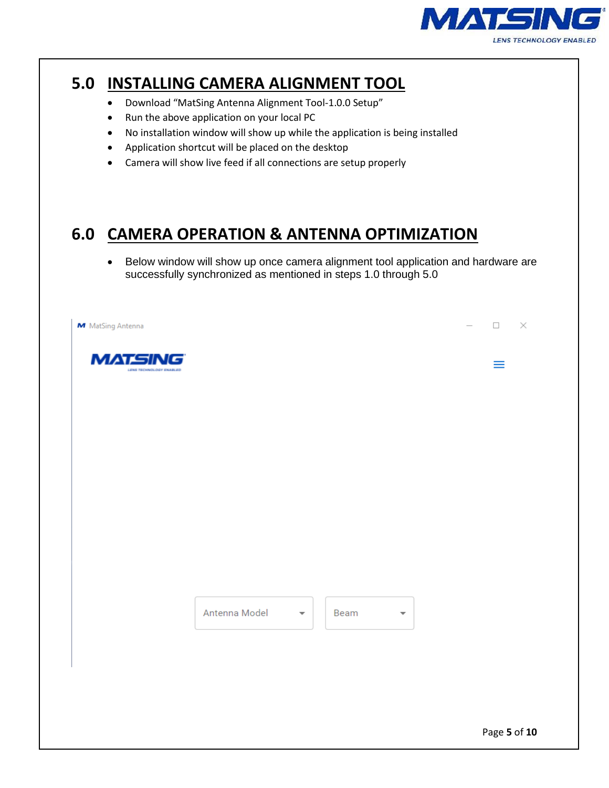

#### **5.0 INSTALLING CAMERA ALIGNMENT TOOL**

- Download "MatSing Antenna Alignment Tool-1.0.0 Setup"
- Run the above application on your local PC
- No installation window will show up while the application is being installed
- Application shortcut will be placed on the desktop
- Camera will show live feed if all connections are setup properly

#### **6.0 CAMERA OPERATION & ANTENNA OPTIMIZATION**

• Below window will show up once camera alignment tool application and hardware are successfully synchronized as mentioned in steps 1.0 through 5.0

| M MatSing Antenna                         |               |                                 |                         | $\Box$<br>$\times$ |
|-------------------------------------------|---------------|---------------------------------|-------------------------|--------------------|
| <b>MATSING</b><br>LENS TECHNOLOGY ENABLED |               |                                 |                         | $\equiv$           |
|                                           |               |                                 |                         |                    |
|                                           |               |                                 |                         |                    |
|                                           |               |                                 |                         |                    |
|                                           |               |                                 |                         |                    |
|                                           |               |                                 |                         |                    |
|                                           |               |                                 |                         |                    |
|                                           |               |                                 |                         |                    |
|                                           |               |                                 |                         |                    |
|                                           | Antenna Model | Beam<br>$\overline{\mathbf{v}}$ | $\overline{\mathbf{v}}$ |                    |
|                                           |               |                                 |                         |                    |
|                                           |               |                                 |                         |                    |
|                                           |               |                                 |                         |                    |
|                                           |               |                                 |                         | Page 5 of 10       |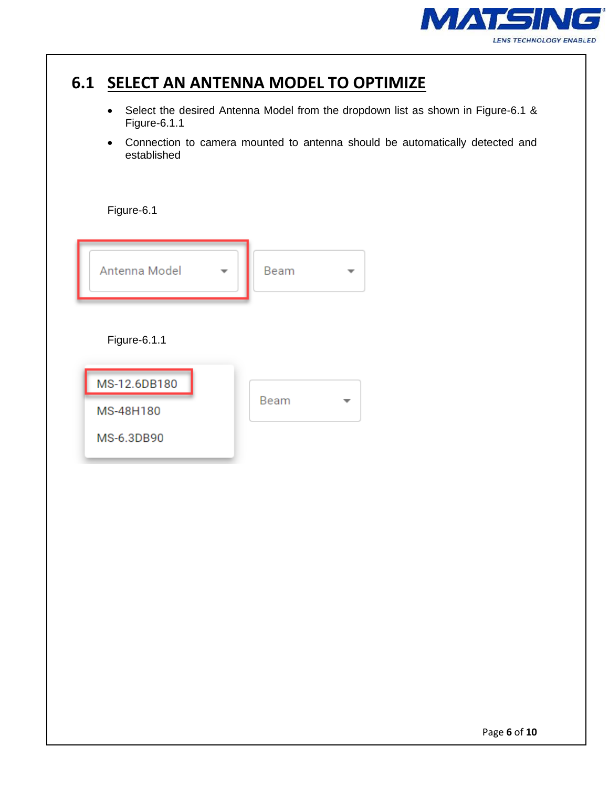

## **6.1 SELECT AN ANTENNA MODEL TO OPTIMIZE**

- Select the desired Antenna Model from the dropdown list as shown in Figure-6.1 & Figure-6.1.1
- Connection to camera mounted to antenna should be automatically detected and established

Figure-6.1

| Antenna Model |  | Beam |  |
|---------------|--|------|--|
| Figure-6.1.1  |  |      |  |
| MS-12.6DB180  |  |      |  |
| MS-48H180     |  | Beam |  |
| MS-6.3DB90    |  |      |  |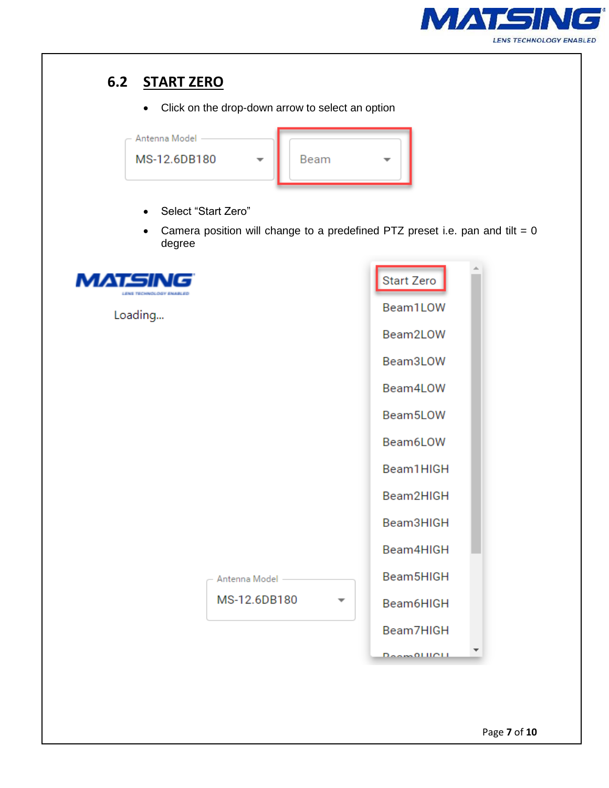

#### **6.2 START ZERO**

• Click on the drop-down arrow to select an option



- Select "Start Zero"
- Camera position will change to a predefined PTZ preset i.e. pan and tilt =  $0$ degree

| MATSIN<br>LENS TECHNOLOGY ENABLED |                 | Start Zero          |
|-----------------------------------|-----------------|---------------------|
| Loading                           |                 | Beam1LOW            |
|                                   |                 | Beam2LOW            |
|                                   |                 | Beam3LOW            |
|                                   |                 | Beam4LOW            |
|                                   |                 | Beam5LOW            |
|                                   |                 | Beam6LOW            |
|                                   |                 | Beam1HIGH           |
|                                   |                 | Beam2HIGH           |
|                                   |                 | Beam3HIGH           |
|                                   |                 | Beam4HIGH           |
|                                   | Antenna Model - | Beam5HIGH           |
|                                   | MS-12.6DB180    | Beam6HIGH           |
|                                   |                 | Beam7HIGH           |
|                                   |                 | <b>Deam OLIIOLL</b> |
|                                   |                 |                     |
|                                   |                 |                     |
|                                   |                 | Page 7 of 10        |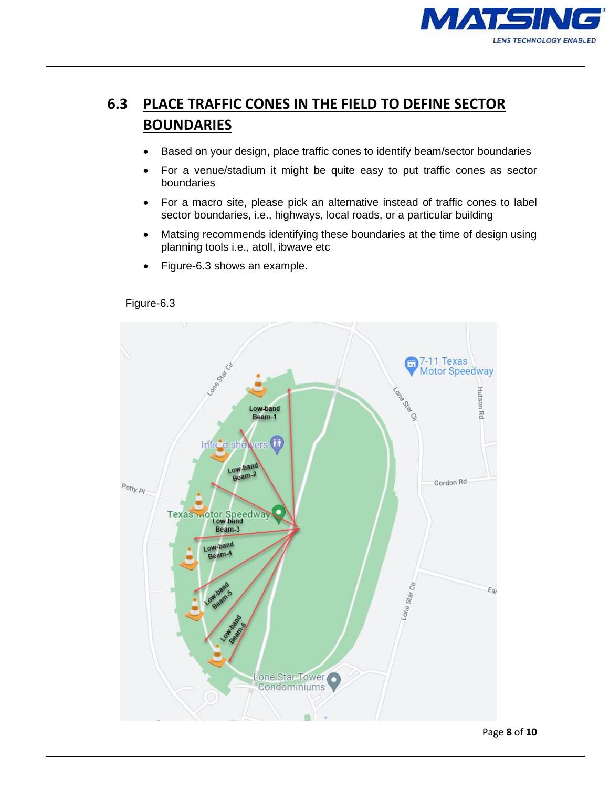

#### **6.3 PLACE TRAFFIC CONES IN THE FIELD TO DEFINE SECTOR BOUNDARIES**

- Based on your design, place traffic cones to identify beam/sector boundaries
- For a venue/stadium it might be quite easy to put traffic cones as sector boundaries
- For a macro site, please pick an alternative instead of traffic cones to label sector boundaries, i.e., highways, local roads, or a particular building
- Matsing recommends identifying these boundaries at the time of design using planning tools i.e., atoll, ibwave etc
- Figure-6.3 shows an example.

Figure-6.3

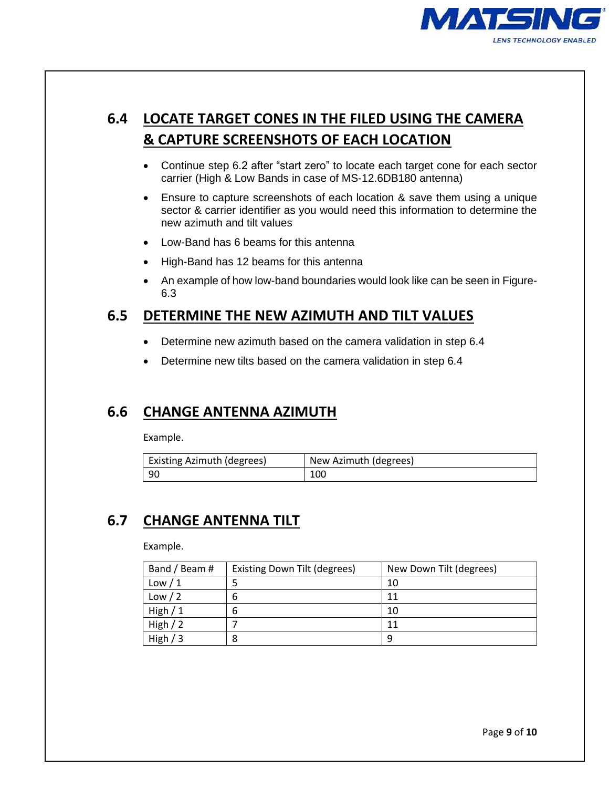

#### **6.4 LOCATE TARGET CONES IN THE FILED USING THE CAMERA & CAPTURE SCREENSHOTS OF EACH LOCATION**

- Continue step 6.2 after "start zero" to locate each target cone for each sector carrier (High & Low Bands in case of MS-12.6DB180 antenna)
- Ensure to capture screenshots of each location & save them using a unique sector & carrier identifier as you would need this information to determine the new azimuth and tilt values
- Low-Band has 6 beams for this antenna
- High-Band has 12 beams for this antenna
- An example of how low-band boundaries would look like can be seen in Figure-6.3

#### **6.5 DETERMINE THE NEW AZIMUTH AND TILT VALUES**

- Determine new azimuth based on the camera validation in step 6.4
- Determine new tilts based on the camera validation in step 6.4

#### **6.6 CHANGE ANTENNA AZIMUTH**

Example.

| Existing Azimuth (degrees) | New Azimuth (degrees) |
|----------------------------|-----------------------|
| - 90                       | 100                   |

#### **6.7 CHANGE ANTENNA TILT**

Example.

| Band / Beam # | Existing Down Tilt (degrees) | New Down Tilt (degrees) |
|---------------|------------------------------|-------------------------|
| Low $/1$      |                              | 10                      |
| Low / 2       | b                            | 11                      |
| High $/1$     | b                            | 10                      |
| High $/2$     |                              | 11                      |
| High $/3$     |                              | a                       |